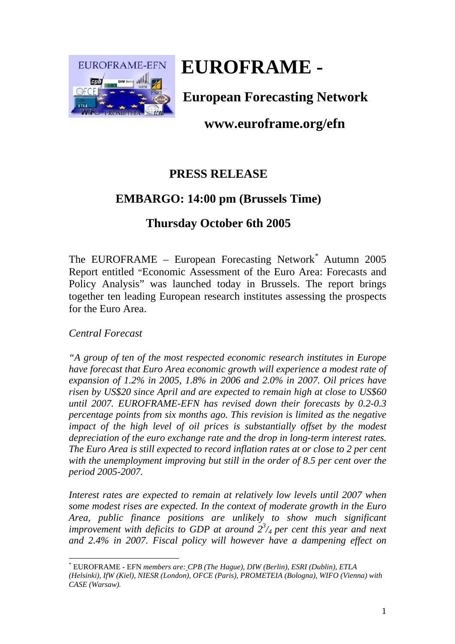

# **EUROFRAME -**

**European Forecasting Network** 

## **www.euroframe.org/efn**

## **PRESS RELEASE**

# **EMBARGO: 14:00 pm (Brussels Time)**

## **Thursday October 6th 2005**

The EUROFRAME – European Forecasting Network*\** Autumn 2005 Report entitled "Economic Assessment of the Euro Area: Forecasts and Policy Analysis" was launched today in Brussels. The report brings together ten leading European research institutes assessing the prospects for the Euro Area.

#### *Central Forecast*

 $\overline{a}$ 

*"A group of ten of the most respected economic research institutes in Europe have forecast that Euro Area economic growth will experience a modest rate of expansion of 1.2% in 2005, 1.8% in 2006 and 2.0% in 2007. Oil prices have risen by US\$20 since April and are expected to remain high at close to US\$60 until 2007. EUROFRAME-EFN has revised down their forecasts by 0.2-0.3 percentage points from six months ago. This revision is limited as the negative impact of the high level of oil prices is substantially offset by the modest depreciation of the euro exchange rate and the drop in long-term interest rates. The Euro Area is still expected to record inflation rates at or close to 2 per cent with the unemployment improving but still in the order of 8.5 per cent over the period 2005-2007.* 

*Interest rates are expected to remain at relatively low levels until 2007 when some modest rises are expected. In the context of moderate growth in the Euro Area, public finance positions are unlikely to show much significant improvement with deficits to GDP at around*  $2^{3}/_{4}$  *per cent this year and next and 2.4% in 2007. Fiscal policy will however have a dampening effect on* 

<sup>\*</sup> EUROFRAME - EFN *members are: CPB (The Hague), DIW (Berlin), ESRI (Dublin), ETLA (Helsinki), IfW (Kiel), NIESR (London), OFCE (Paris), PROMETEIA (Bologna), WIFO (Vienna) with CASE (Warsaw).*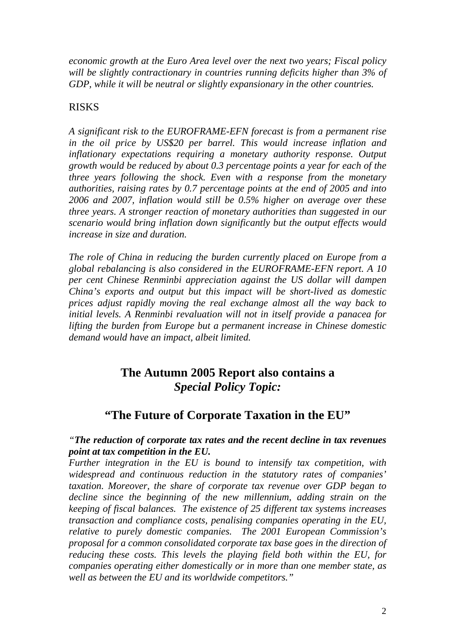*economic growth at the Euro Area level over the next two years; Fiscal policy will be slightly contractionary in countries running deficits higher than 3% of GDP, while it will be neutral or slightly expansionary in the other countries.* 

#### RISKS

*A significant risk to the EUROFRAME-EFN forecast is from a permanent rise in the oil price by US\$20 per barrel. This would increase inflation and inflationary expectations requiring a monetary authority response. Output growth would be reduced by about 0.3 percentage points a year for each of the three years following the shock. Even with a response from the monetary authorities, raising rates by 0.7 percentage points at the end of 2005 and into 2006 and 2007, inflation would still be 0.5% higher on average over these three years. A stronger reaction of monetary authorities than suggested in our scenario would bring inflation down significantly but the output effects would increase in size and duration.* 

*The role of China in reducing the burden currently placed on Europe from a global rebalancing is also considered in the EUROFRAME-EFN report. A 10 per cent Chinese Renminbi appreciation against the US dollar will dampen China's exports and output but this impact will be short-lived as domestic prices adjust rapidly moving the real exchange almost all the way back to initial levels. A Renminbi revaluation will not in itself provide a panacea for lifting the burden from Europe but a permanent increase in Chinese domestic demand would have an impact, albeit limited.* 

## **The Autumn 2005 Report also contains a**  *Special Policy Topic:*

### **"The Future of Corporate Taxation in the EU"**

#### *"The reduction of corporate tax rates and the recent decline in tax revenues point at tax competition in the EU.*

*Further integration in the EU is bound to intensify tax competition, with widespread and continuous reduction in the statutory rates of companies' taxation. Moreover, the share of corporate tax revenue over GDP began to decline since the beginning of the new millennium, adding strain on the keeping of fiscal balances. The existence of 25 different tax systems increases transaction and compliance costs, penalising companies operating in the EU, relative to purely domestic companies. The 2001 European Commission's proposal for a common consolidated corporate tax base goes in the direction of reducing these costs. This levels the playing field both within the EU, for companies operating either domestically or in more than one member state, as well as between the EU and its worldwide competitors."*